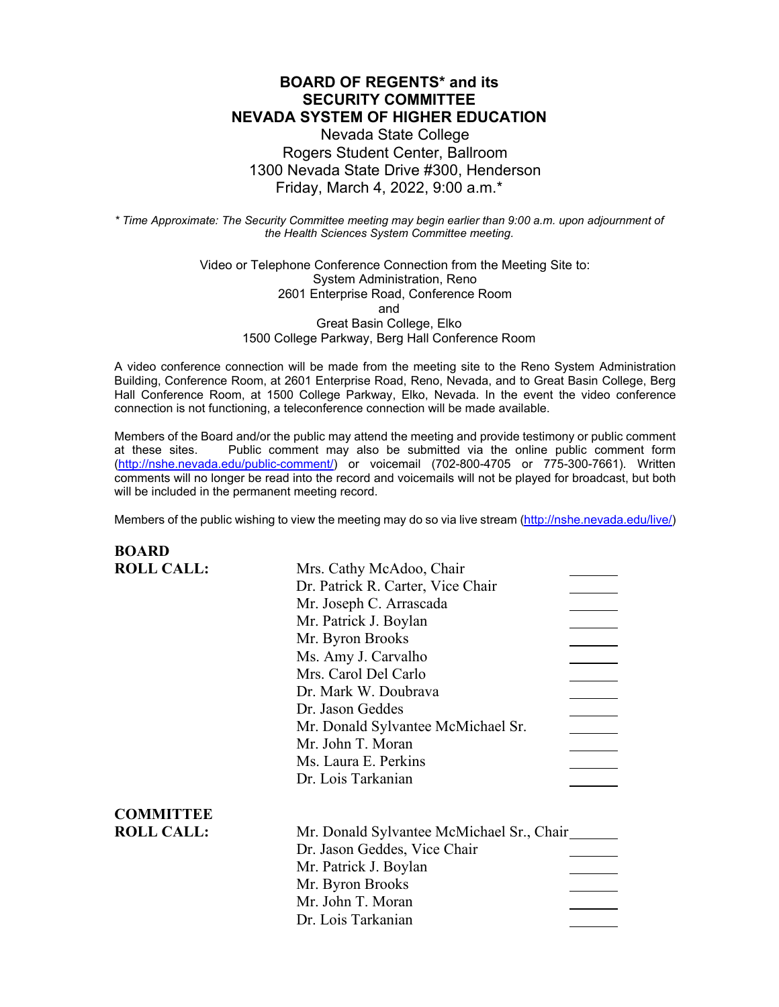## **BOARD OF REGENTS\* and its SECURITY COMMITTEE NEVADA SYSTEM OF HIGHER EDUCATION**

Nevada State College Rogers Student Center, Ballroom 1300 Nevada State Drive #300, Henderson Friday, March 4, 2022, 9:00 a.m.\*

*\* Time Approximate: The Security Committee meeting may begin earlier than 9:00 a.m. upon adjournment of the Health Sciences System Committee meeting.*

> Video or Telephone Conference Connection from the Meeting Site to: System Administration, Reno 2601 Enterprise Road, Conference Room and Great Basin College, Elko 1500 College Parkway, Berg Hall Conference Room

A video conference connection will be made from the meeting site to the Reno System Administration Building, Conference Room, at 2601 Enterprise Road, Reno, Nevada, and to Great Basin College, Berg Hall Conference Room, at 1500 College Parkway, Elko, Nevada. In the event the video conference connection is not functioning, a teleconference connection will be made available.

Members of the Board and/or the public may attend the meeting and provide testimony or public comment at these sites. Public comment may also be submitted via the online public comment form [\(http://nshe.nevada.edu/public-comment/\)](http://nshe.nevada.edu/public-comment/) or voicemail (702-800-4705 or 775-300-7661). Written comments will no longer be read into the record and voicemails will not be played for broadcast, but both will be included in the permanent meeting record.

Members of the public wishing to view the meeting may do so via live stream [\(http://nshe.nevada.edu/live/\)](http://nshe.nevada.edu/live/)

| <b>BOARD</b>      |                                           |
|-------------------|-------------------------------------------|
| <b>ROLL CALL:</b> | Mrs. Cathy McAdoo, Chair                  |
|                   | Dr. Patrick R. Carter, Vice Chair         |
|                   | Mr. Joseph C. Arrascada                   |
|                   | Mr. Patrick J. Boylan                     |
|                   | Mr. Byron Brooks                          |
|                   | Ms. Amy J. Carvalho                       |
|                   | Mrs. Carol Del Carlo                      |
|                   | Dr. Mark W. Doubrava                      |
|                   | Dr. Jason Geddes                          |
|                   | Mr. Donald Sylvantee McMichael Sr.        |
|                   | Mr. John T. Moran                         |
|                   | Ms. Laura E. Perkins                      |
|                   | Dr. Lois Tarkanian                        |
| <b>COMMITTEE</b>  |                                           |
| <b>ROLL CALL:</b> | Mr. Donald Sylvantee McMichael Sr., Chair |
|                   | Dr. Jason Geddes, Vice Chair              |
|                   | Mr. Patrick J. Boylan                     |
|                   | Mr. Byron Brooks                          |
|                   | Mr. John T. Moran                         |
|                   | Dr. Lois Tarkanian                        |
|                   |                                           |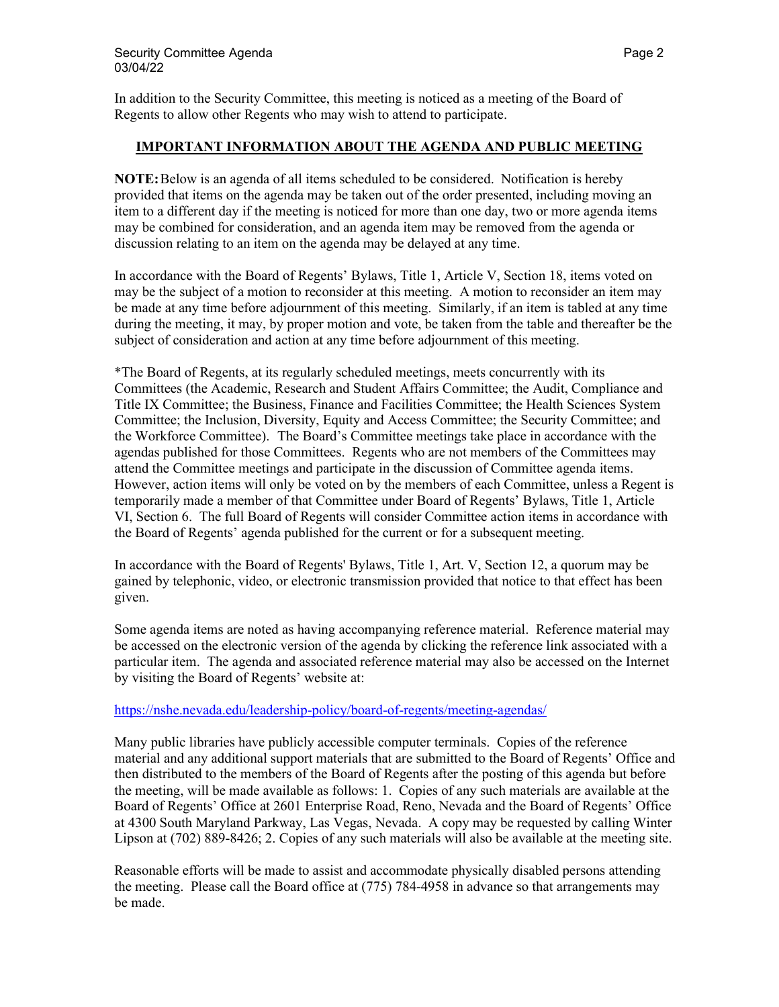In addition to the Security Committee, this meeting is noticed as a meeting of the Board of Regents to allow other Regents who may wish to attend to participate.

### **IMPORTANT INFORMATION ABOUT THE AGENDA AND PUBLIC MEETING**

**NOTE:**Below is an agenda of all items scheduled to be considered. Notification is hereby provided that items on the agenda may be taken out of the order presented, including moving an item to a different day if the meeting is noticed for more than one day, two or more agenda items may be combined for consideration, and an agenda item may be removed from the agenda or discussion relating to an item on the agenda may be delayed at any time.

In accordance with the Board of Regents' Bylaws, Title 1, Article V, Section 18, items voted on may be the subject of a motion to reconsider at this meeting. A motion to reconsider an item may be made at any time before adjournment of this meeting. Similarly, if an item is tabled at any time during the meeting, it may, by proper motion and vote, be taken from the table and thereafter be the subject of consideration and action at any time before adjournment of this meeting.

\*The Board of Regents, at its regularly scheduled meetings, meets concurrently with its Committees (the Academic, Research and Student Affairs Committee; the Audit, Compliance and Title IX Committee; the Business, Finance and Facilities Committee; the Health Sciences System Committee; the Inclusion, Diversity, Equity and Access Committee; the Security Committee; and the Workforce Committee). The Board's Committee meetings take place in accordance with the agendas published for those Committees. Regents who are not members of the Committees may attend the Committee meetings and participate in the discussion of Committee agenda items. However, action items will only be voted on by the members of each Committee, unless a Regent is temporarily made a member of that Committee under Board of Regents' Bylaws, Title 1, Article VI, Section 6. The full Board of Regents will consider Committee action items in accordance with the Board of Regents' agenda published for the current or for a subsequent meeting.

In accordance with the Board of Regents' Bylaws, Title 1, Art. V, Section 12, a quorum may be gained by telephonic, video, or electronic transmission provided that notice to that effect has been given.

Some agenda items are noted as having accompanying reference material. Reference material may be accessed on the electronic version of the agenda by clicking the reference link associated with a particular item. The agenda and associated reference material may also be accessed on the Internet by visiting the Board of Regents' website at:

### <https://nshe.nevada.edu/leadership-policy/board-of-regents/meeting-agendas/>

Many public libraries have publicly accessible computer terminals. Copies of the reference material and any additional support materials that are submitted to the Board of Regents' Office and then distributed to the members of the Board of Regents after the posting of this agenda but before the meeting, will be made available as follows: 1. Copies of any such materials are available at the Board of Regents' Office at 2601 Enterprise Road, Reno, Nevada and the Board of Regents' Office at 4300 South Maryland Parkway, Las Vegas, Nevada. A copy may be requested by calling Winter Lipson at (702) 889-8426; 2. Copies of any such materials will also be available at the meeting site.

Reasonable efforts will be made to assist and accommodate physically disabled persons attending the meeting. Please call the Board office at (775) 784-4958 in advance so that arrangements may be made.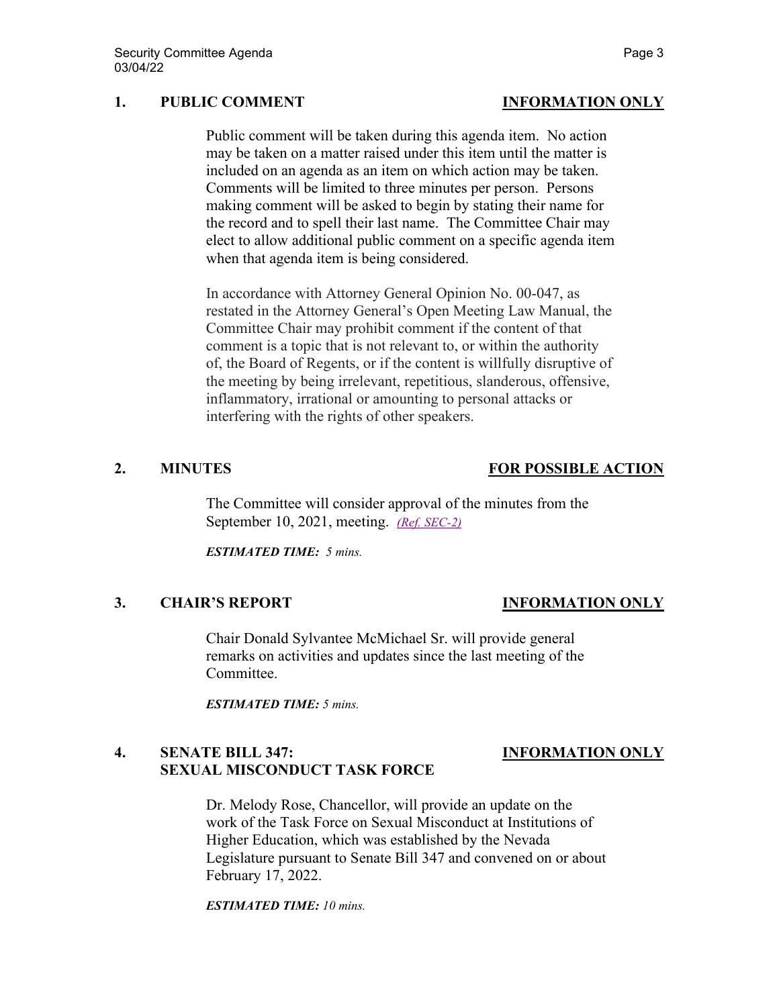# **1. PUBLIC COMMENT INFORMATION ONLY**

Public comment will be taken during this agenda item. No action may be taken on a matter raised under this item until the matter is included on an agenda as an item on which action may be taken. Comments will be limited to three minutes per person. Persons making comment will be asked to begin by stating their name for the record and to spell their last name. The Committee Chair may elect to allow additional public comment on a specific agenda item when that agenda item is being considered.

In accordance with Attorney General Opinion No. 00-047, as restated in the Attorney General's Open Meeting Law Manual, the Committee Chair may prohibit comment if the content of that comment is a topic that is not relevant to, or within the authority of, the Board of Regents, or if the content is willfully disruptive of the meeting by being irrelevant, repetitious, slanderous, offensive, inflammatory, irrational or amounting to personal attacks or interfering with the rights of other speakers.

# **2. MINUTES FOR POSSIBLE ACTION**

The Committee will consider approval of the minutes from the September 10, 2021, meeting. *[\(Ref. SEC-2\)](https://nshe.nevada.edu/wp-content/uploads/file/BoardOfRegents/Agendas/2022/03-mar-mtgs/sec-refs/SEC-2.pdf)*

*ESTIMATED TIME: 5 mins.*

## **3. CHAIR'S REPORT INFORMATION ONLY**

Chair Donald Sylvantee McMichael Sr. will provide general remarks on activities and updates since the last meeting of the Committee.

*ESTIMATED TIME: 5 mins.*

# **4. SENATE BILL 347: INFORMATION ONLY SEXUAL MISCONDUCT TASK FORCE**

Dr. Melody Rose, Chancellor, will provide an update on the work of the Task Force on Sexual Misconduct at Institutions of Higher Education, which was established by the Nevada Legislature pursuant to Senate Bill 347 and convened on or about February 17, 2022.

*ESTIMATED TIME: 10 mins.*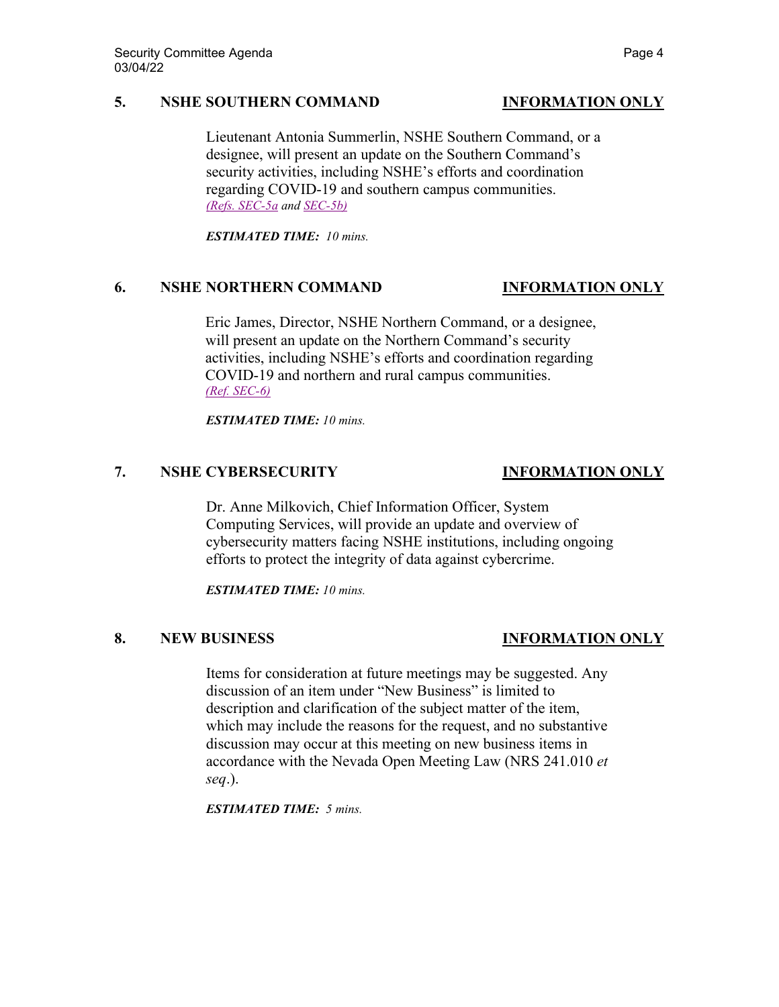### **5. NSHE SOUTHERN COMMAND INFORMATION ONLY**

Lieutenant Antonia Summerlin, NSHE Southern Command, or a designee, will present an update on the Southern Command's security activities, including NSHE's efforts and coordination regarding COVID-19 and southern campus communities. *[\(Refs. SEC-5a](https://nshe.nevada.edu/wp-content/uploads/file/BoardOfRegents/Agendas/2022/03-mar-mtgs/sec-refs/SEC-5a.pdf) an[d SEC-5b\)](https://nshe.nevada.edu/wp-content/uploads/file/BoardOfRegents/Agendas/2022/03-mar-mtgs/sec-refs/SEC-5b.mp4)*

*ESTIMATED TIME: 10 mins.*

# **6. NSHE NORTHERN COMMAND INFORMATION ONLY**

Eric James, Director, NSHE Northern Command, or a designee, will present an update on the Northern Command's security activities, including NSHE's efforts and coordination regarding COVID-19 and northern and rural campus communities. *[\(Ref. SEC-6\)](https://nshe.nevada.edu/wp-content/uploads/file/BoardOfRegents/Agendas/2022/03-mar-mtgs/sec-refs/SEC-6.pdf)*

*ESTIMATED TIME: 10 mins.*

## **7. NSHE CYBERSECURITY INFORMATION ONLY**

Dr. Anne Milkovich, Chief Information Officer, System Computing Services, will provide an update and overview of cybersecurity matters facing NSHE institutions, including ongoing efforts to protect the integrity of data against cybercrime.

*ESTIMATED TIME: 10 mins.*

## **8. NEW BUSINESS INFORMATION ONLY**

Items for consideration at future meetings may be suggested. Any discussion of an item under "New Business" is limited to description and clarification of the subject matter of the item, which may include the reasons for the request, and no substantive discussion may occur at this meeting on new business items in accordance with the Nevada Open Meeting Law (NRS 241.010 *et seq*.).

*ESTIMATED TIME: 5 mins.*